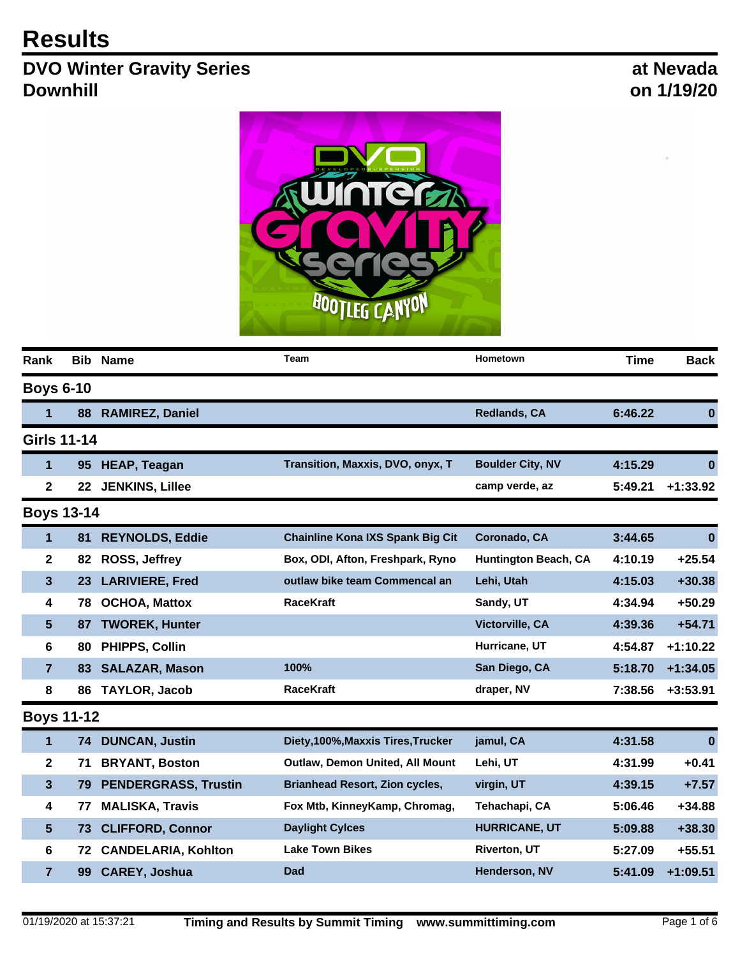## **Results**

## **DVO Winter Gravity Series Downhill**

**at Nevada on 1/19/20**



| Rank               | <b>Bib</b>      | <b>Name</b>                 | Team                                    | Hometown                    | <b>Time</b> | <b>Back</b> |
|--------------------|-----------------|-----------------------------|-----------------------------------------|-----------------------------|-------------|-------------|
| <b>Boys 6-10</b>   |                 |                             |                                         |                             |             |             |
| 1                  | 88              | <b>RAMIREZ, Daniel</b>      |                                         | <b>Redlands, CA</b>         | 6:46.22     | $\bf{0}$    |
| <b>Girls 11-14</b> |                 |                             |                                         |                             |             |             |
| $\mathbf{1}$       | 95 <sub>°</sub> | <b>HEAP, Teagan</b>         | Transition, Maxxis, DVO, onyx, T        | <b>Boulder City, NV</b>     | 4:15.29     | $\bf{0}$    |
| $\mathbf 2$        | 22              | <b>JENKINS, Lillee</b>      |                                         | camp verde, az              | 5:49.21     | $+1:33.92$  |
| <b>Boys 13-14</b>  |                 |                             |                                         |                             |             |             |
| 1                  | 81              | <b>REYNOLDS, Eddie</b>      | <b>Chainline Kona IXS Spank Big Cit</b> | Coronado, CA                | 3:44.65     | $\bf{0}$    |
| 2                  | 82              | ROSS, Jeffrey               | Box, ODI, Afton, Freshpark, Ryno        | <b>Huntington Beach, CA</b> | 4:10.19     | $+25.54$    |
| 3                  | 23              | <b>LARIVIERE, Fred</b>      | outlaw bike team Commencal an           | Lehi, Utah                  | 4:15.03     | $+30.38$    |
| 4                  | 78              | <b>OCHOA, Mattox</b>        | <b>RaceKraft</b>                        | Sandy, UT                   | 4:34.94     | $+50.29$    |
| 5                  | 87              | <b>TWOREK, Hunter</b>       |                                         | <b>Victorville, CA</b>      | 4:39.36     | $+54.71$    |
| 6                  | 80              | PHIPPS, Collin              |                                         | Hurricane, UT               | 4:54.87     | $+1:10.22$  |
| $\overline{7}$     | 83              | <b>SALAZAR, Mason</b>       | 100%                                    | San Diego, CA               | 5:18.70     | $+1:34.05$  |
| 8                  | 86              | <b>TAYLOR, Jacob</b>        | <b>RaceKraft</b>                        | draper, NV                  | 7:38.56     | $+3:53.91$  |
| <b>Boys 11-12</b>  |                 |                             |                                         |                             |             |             |
| 1                  | 74              | <b>DUNCAN, Justin</b>       | Diety, 100%, Maxxis Tires, Trucker      | jamul, CA                   | 4:31.58     | $\bf{0}$    |
| $\mathbf{2}$       | 71              | <b>BRYANT, Boston</b>       | Outlaw, Demon United, All Mount         | Lehi, UT                    | 4:31.99     | $+0.41$     |
| 3                  | 79              | <b>PENDERGRASS, Trustin</b> | <b>Brianhead Resort, Zion cycles,</b>   | virgin, UT                  | 4:39.15     | $+7.57$     |
| 4                  | 77              | <b>MALISKA, Travis</b>      | Fox Mtb, KinneyKamp, Chromag,           | Tehachapi, CA               | 5:06.46     | +34.88      |
| 5                  | 73              | <b>CLIFFORD, Connor</b>     | <b>Daylight Cylces</b>                  | <b>HURRICANE, UT</b>        | 5:09.88     | $+38.30$    |
| 6                  | 72              | <b>CANDELARIA, Kohlton</b>  | <b>Lake Town Bikes</b>                  | <b>Riverton, UT</b>         | 5:27.09     | $+55.51$    |
| $\overline{7}$     | 99              | <b>CAREY, Joshua</b>        | <b>Dad</b>                              | Henderson, NV               | 5:41.09     | $+1:09.51$  |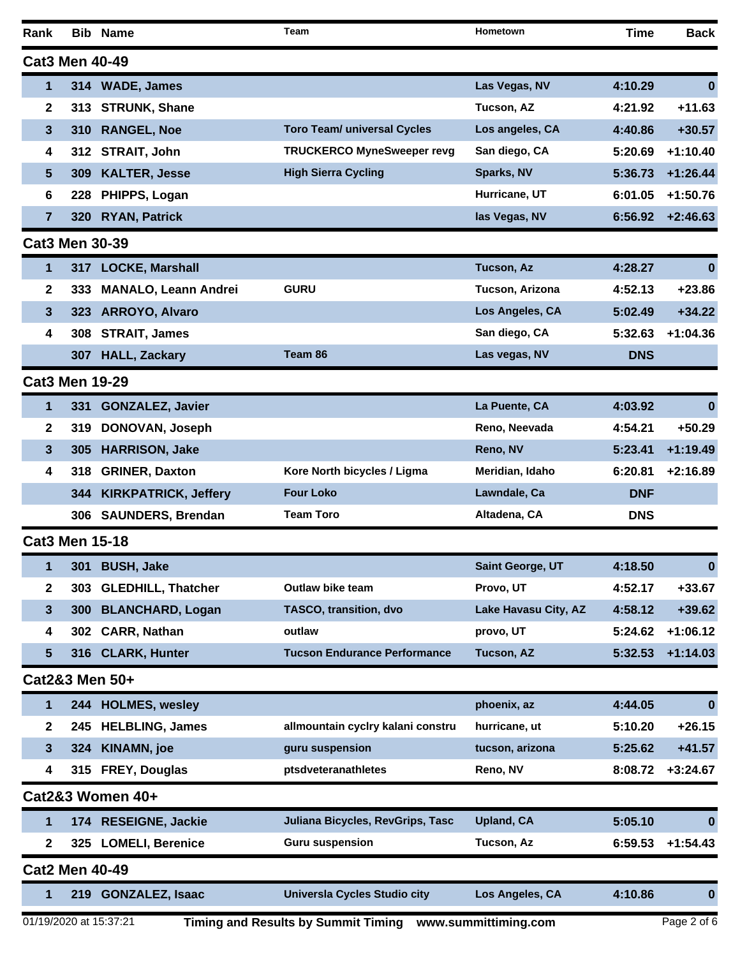| <b>Cat3 Men 40-49</b><br>1<br>314 WADE, James<br>Las Vegas, NV<br>4:10.29<br>$\boldsymbol{0}$<br>Tucson, AZ<br>$+11.63$<br>$\mathbf{2}$<br><b>STRUNK, Shane</b><br>4:21.92<br>313<br><b>Toro Team/ universal Cycles</b><br>Los angeles, CA<br>$+30.57$<br>3<br><b>RANGEL, Noe</b><br>4:40.86<br>310<br><b>TRUCKERCO MyneSweeper revg</b><br><b>STRAIT, John</b><br>San diego, CA<br>$+1:10.40$<br>5:20.69<br>4<br>312<br><b>High Sierra Cycling</b><br>Sparks, NV<br>$+1:26.44$<br>5<br><b>KALTER, Jesse</b><br>5:36.73<br>309<br>PHIPPS, Logan<br>Hurricane, UT<br>$+1:50.76$<br>6<br>6:01.05<br>228<br>las Vegas, NV<br>$+2:46.63$<br>7<br><b>RYAN, Patrick</b><br>320<br>6:56.92<br><b>Cat3 Men 30-39</b><br><b>Tucson, Az</b><br>1<br>317 LOCKE, Marshall<br>4:28.27<br>$\bf{0}$<br><b>GURU</b><br>Tucson, Arizona<br>4:52.13<br>$+23.86$<br>$\mathbf{2}$<br><b>MANALO, Leann Andrei</b><br>333<br>Los Angeles, CA<br>$+34.22$<br>3<br><b>ARROYO, Alvaro</b><br>5:02.49<br>323<br><b>STRAIT, James</b><br>San diego, CA<br>$+1:04.36$<br>4<br>5:32.63<br>308<br><b>HALL, Zackary</b><br>Team 86<br>Las vegas, NV<br><b>DNS</b><br>307<br><b>Cat3 Men 19-29</b><br><b>GONZALEZ, Javier</b><br>La Puente, CA<br>4:03.92<br>0<br>1<br>331<br>Reno, Neevada<br>$+50.29$<br>2<br>DONOVAN, Joseph<br>4:54.21<br>319<br>Reno, NV<br>$+1:19.49$<br>3<br><b>HARRISON, Jake</b><br>5:23.41<br>305<br>Kore North bicycles / Ligma<br>Meridian, Idaho<br>$+2:16.89$<br>4<br><b>GRINER, Daxton</b><br>6:20.81<br>318<br><b>KIRKPATRICK, Jeffery</b><br><b>Four Loko</b><br>Lawndale, Ca<br><b>DNF</b><br>344<br><b>Team Toro</b><br><b>SAUNDERS, Brendan</b><br>Altadena, CA<br><b>DNS</b><br>306<br><b>Cat3 Men 15-18</b><br>Saint George, UT<br>4:18.50<br><b>BUSH, Jake</b><br><b>301</b><br>1<br>$\mathbf{U}$<br>Outlaw bike team<br>Provo, UT<br>4:52.17<br>$+33.67$<br><b>GLEDHILL, Thatcher</b><br>2<br>303<br>$+39.62$<br>3<br><b>BLANCHARD, Logan</b><br>TASCO, transition, dvo<br>Lake Havasu City, AZ<br>4:58.12<br>300<br>outlaw<br>provo, UT<br>$+1:06.12$<br><b>CARR, Nathan</b><br>5:24.62<br>4<br>302<br><b>Tucson Endurance Performance</b><br><b>CLARK, Hunter</b><br><b>Tucson, AZ</b><br>$+1:14.03$<br>5<br>5:32.53<br>316<br>Cat2&3 Men 50+<br>4:44.05<br>244 HOLMES, wesley<br>phoenix, az<br>1<br>$\bf{0}$<br><b>HELBLING, James</b><br>allmountain cyclry kalani constru<br>$+26.15$<br>hurricane, ut<br>5:10.20<br>2<br>245<br>$+41.57$<br><b>KINAMN, joe</b><br>3<br>guru suspension<br>tucson, arizona<br>5:25.62<br>324<br>315 FREY, Douglas<br>ptsdveteranathletes<br>Reno, NV<br>$+3:24.67$<br>8:08.72<br>4<br>Cat2&3 Women 40+<br>Juliana Bicycles, RevGrips, Tasc<br><b>Upland, CA</b><br>5:05.10<br>174 RESEIGNE, Jackie<br>1<br>$\bf{0}$<br>$+1:54.43$<br>2<br>325 LOMELI, Berenice<br><b>Guru suspension</b><br>Tucson, Az<br>6:59.53<br><b>Cat2 Men 40-49</b><br><b>Universla Cycles Studio city</b><br>219 GONZALEZ, Isaac<br>Los Angeles, CA<br>4:10.86<br>1<br>$\bf{0}$ | Rank |  | <b>Bib Name</b> | Team | Hometown | <b>Time</b> | <b>Back</b> |  |
|-------------------------------------------------------------------------------------------------------------------------------------------------------------------------------------------------------------------------------------------------------------------------------------------------------------------------------------------------------------------------------------------------------------------------------------------------------------------------------------------------------------------------------------------------------------------------------------------------------------------------------------------------------------------------------------------------------------------------------------------------------------------------------------------------------------------------------------------------------------------------------------------------------------------------------------------------------------------------------------------------------------------------------------------------------------------------------------------------------------------------------------------------------------------------------------------------------------------------------------------------------------------------------------------------------------------------------------------------------------------------------------------------------------------------------------------------------------------------------------------------------------------------------------------------------------------------------------------------------------------------------------------------------------------------------------------------------------------------------------------------------------------------------------------------------------------------------------------------------------------------------------------------------------------------------------------------------------------------------------------------------------------------------------------------------------------------------------------------------------------------------------------------------------------------------------------------------------------------------------------------------------------------------------------------------------------------------------------------------------------------------------------------------------------------------------------------------------------------------------------------------------------------------------------------------------------------------------------------------------------------------------------------------------------------------------------------------------------------------------------------------------------------------------------------------------------------------------------------------------------------------------------------------------------------------------------------------------------------------------------------------|------|--|-----------------|------|----------|-------------|-------------|--|
|                                                                                                                                                                                                                                                                                                                                                                                                                                                                                                                                                                                                                                                                                                                                                                                                                                                                                                                                                                                                                                                                                                                                                                                                                                                                                                                                                                                                                                                                                                                                                                                                                                                                                                                                                                                                                                                                                                                                                                                                                                                                                                                                                                                                                                                                                                                                                                                                                                                                                                                                                                                                                                                                                                                                                                                                                                                                                                                                                                                                       |      |  |                 |      |          |             |             |  |
|                                                                                                                                                                                                                                                                                                                                                                                                                                                                                                                                                                                                                                                                                                                                                                                                                                                                                                                                                                                                                                                                                                                                                                                                                                                                                                                                                                                                                                                                                                                                                                                                                                                                                                                                                                                                                                                                                                                                                                                                                                                                                                                                                                                                                                                                                                                                                                                                                                                                                                                                                                                                                                                                                                                                                                                                                                                                                                                                                                                                       |      |  |                 |      |          |             |             |  |
|                                                                                                                                                                                                                                                                                                                                                                                                                                                                                                                                                                                                                                                                                                                                                                                                                                                                                                                                                                                                                                                                                                                                                                                                                                                                                                                                                                                                                                                                                                                                                                                                                                                                                                                                                                                                                                                                                                                                                                                                                                                                                                                                                                                                                                                                                                                                                                                                                                                                                                                                                                                                                                                                                                                                                                                                                                                                                                                                                                                                       |      |  |                 |      |          |             |             |  |
|                                                                                                                                                                                                                                                                                                                                                                                                                                                                                                                                                                                                                                                                                                                                                                                                                                                                                                                                                                                                                                                                                                                                                                                                                                                                                                                                                                                                                                                                                                                                                                                                                                                                                                                                                                                                                                                                                                                                                                                                                                                                                                                                                                                                                                                                                                                                                                                                                                                                                                                                                                                                                                                                                                                                                                                                                                                                                                                                                                                                       |      |  |                 |      |          |             |             |  |
|                                                                                                                                                                                                                                                                                                                                                                                                                                                                                                                                                                                                                                                                                                                                                                                                                                                                                                                                                                                                                                                                                                                                                                                                                                                                                                                                                                                                                                                                                                                                                                                                                                                                                                                                                                                                                                                                                                                                                                                                                                                                                                                                                                                                                                                                                                                                                                                                                                                                                                                                                                                                                                                                                                                                                                                                                                                                                                                                                                                                       |      |  |                 |      |          |             |             |  |
|                                                                                                                                                                                                                                                                                                                                                                                                                                                                                                                                                                                                                                                                                                                                                                                                                                                                                                                                                                                                                                                                                                                                                                                                                                                                                                                                                                                                                                                                                                                                                                                                                                                                                                                                                                                                                                                                                                                                                                                                                                                                                                                                                                                                                                                                                                                                                                                                                                                                                                                                                                                                                                                                                                                                                                                                                                                                                                                                                                                                       |      |  |                 |      |          |             |             |  |
|                                                                                                                                                                                                                                                                                                                                                                                                                                                                                                                                                                                                                                                                                                                                                                                                                                                                                                                                                                                                                                                                                                                                                                                                                                                                                                                                                                                                                                                                                                                                                                                                                                                                                                                                                                                                                                                                                                                                                                                                                                                                                                                                                                                                                                                                                                                                                                                                                                                                                                                                                                                                                                                                                                                                                                                                                                                                                                                                                                                                       |      |  |                 |      |          |             |             |  |
|                                                                                                                                                                                                                                                                                                                                                                                                                                                                                                                                                                                                                                                                                                                                                                                                                                                                                                                                                                                                                                                                                                                                                                                                                                                                                                                                                                                                                                                                                                                                                                                                                                                                                                                                                                                                                                                                                                                                                                                                                                                                                                                                                                                                                                                                                                                                                                                                                                                                                                                                                                                                                                                                                                                                                                                                                                                                                                                                                                                                       |      |  |                 |      |          |             |             |  |
|                                                                                                                                                                                                                                                                                                                                                                                                                                                                                                                                                                                                                                                                                                                                                                                                                                                                                                                                                                                                                                                                                                                                                                                                                                                                                                                                                                                                                                                                                                                                                                                                                                                                                                                                                                                                                                                                                                                                                                                                                                                                                                                                                                                                                                                                                                                                                                                                                                                                                                                                                                                                                                                                                                                                                                                                                                                                                                                                                                                                       |      |  |                 |      |          |             |             |  |
|                                                                                                                                                                                                                                                                                                                                                                                                                                                                                                                                                                                                                                                                                                                                                                                                                                                                                                                                                                                                                                                                                                                                                                                                                                                                                                                                                                                                                                                                                                                                                                                                                                                                                                                                                                                                                                                                                                                                                                                                                                                                                                                                                                                                                                                                                                                                                                                                                                                                                                                                                                                                                                                                                                                                                                                                                                                                                                                                                                                                       |      |  |                 |      |          |             |             |  |
|                                                                                                                                                                                                                                                                                                                                                                                                                                                                                                                                                                                                                                                                                                                                                                                                                                                                                                                                                                                                                                                                                                                                                                                                                                                                                                                                                                                                                                                                                                                                                                                                                                                                                                                                                                                                                                                                                                                                                                                                                                                                                                                                                                                                                                                                                                                                                                                                                                                                                                                                                                                                                                                                                                                                                                                                                                                                                                                                                                                                       |      |  |                 |      |          |             |             |  |
|                                                                                                                                                                                                                                                                                                                                                                                                                                                                                                                                                                                                                                                                                                                                                                                                                                                                                                                                                                                                                                                                                                                                                                                                                                                                                                                                                                                                                                                                                                                                                                                                                                                                                                                                                                                                                                                                                                                                                                                                                                                                                                                                                                                                                                                                                                                                                                                                                                                                                                                                                                                                                                                                                                                                                                                                                                                                                                                                                                                                       |      |  |                 |      |          |             |             |  |
|                                                                                                                                                                                                                                                                                                                                                                                                                                                                                                                                                                                                                                                                                                                                                                                                                                                                                                                                                                                                                                                                                                                                                                                                                                                                                                                                                                                                                                                                                                                                                                                                                                                                                                                                                                                                                                                                                                                                                                                                                                                                                                                                                                                                                                                                                                                                                                                                                                                                                                                                                                                                                                                                                                                                                                                                                                                                                                                                                                                                       |      |  |                 |      |          |             |             |  |
|                                                                                                                                                                                                                                                                                                                                                                                                                                                                                                                                                                                                                                                                                                                                                                                                                                                                                                                                                                                                                                                                                                                                                                                                                                                                                                                                                                                                                                                                                                                                                                                                                                                                                                                                                                                                                                                                                                                                                                                                                                                                                                                                                                                                                                                                                                                                                                                                                                                                                                                                                                                                                                                                                                                                                                                                                                                                                                                                                                                                       |      |  |                 |      |          |             |             |  |
|                                                                                                                                                                                                                                                                                                                                                                                                                                                                                                                                                                                                                                                                                                                                                                                                                                                                                                                                                                                                                                                                                                                                                                                                                                                                                                                                                                                                                                                                                                                                                                                                                                                                                                                                                                                                                                                                                                                                                                                                                                                                                                                                                                                                                                                                                                                                                                                                                                                                                                                                                                                                                                                                                                                                                                                                                                                                                                                                                                                                       |      |  |                 |      |          |             |             |  |
|                                                                                                                                                                                                                                                                                                                                                                                                                                                                                                                                                                                                                                                                                                                                                                                                                                                                                                                                                                                                                                                                                                                                                                                                                                                                                                                                                                                                                                                                                                                                                                                                                                                                                                                                                                                                                                                                                                                                                                                                                                                                                                                                                                                                                                                                                                                                                                                                                                                                                                                                                                                                                                                                                                                                                                                                                                                                                                                                                                                                       |      |  |                 |      |          |             |             |  |
|                                                                                                                                                                                                                                                                                                                                                                                                                                                                                                                                                                                                                                                                                                                                                                                                                                                                                                                                                                                                                                                                                                                                                                                                                                                                                                                                                                                                                                                                                                                                                                                                                                                                                                                                                                                                                                                                                                                                                                                                                                                                                                                                                                                                                                                                                                                                                                                                                                                                                                                                                                                                                                                                                                                                                                                                                                                                                                                                                                                                       |      |  |                 |      |          |             |             |  |
|                                                                                                                                                                                                                                                                                                                                                                                                                                                                                                                                                                                                                                                                                                                                                                                                                                                                                                                                                                                                                                                                                                                                                                                                                                                                                                                                                                                                                                                                                                                                                                                                                                                                                                                                                                                                                                                                                                                                                                                                                                                                                                                                                                                                                                                                                                                                                                                                                                                                                                                                                                                                                                                                                                                                                                                                                                                                                                                                                                                                       |      |  |                 |      |          |             |             |  |
|                                                                                                                                                                                                                                                                                                                                                                                                                                                                                                                                                                                                                                                                                                                                                                                                                                                                                                                                                                                                                                                                                                                                                                                                                                                                                                                                                                                                                                                                                                                                                                                                                                                                                                                                                                                                                                                                                                                                                                                                                                                                                                                                                                                                                                                                                                                                                                                                                                                                                                                                                                                                                                                                                                                                                                                                                                                                                                                                                                                                       |      |  |                 |      |          |             |             |  |
|                                                                                                                                                                                                                                                                                                                                                                                                                                                                                                                                                                                                                                                                                                                                                                                                                                                                                                                                                                                                                                                                                                                                                                                                                                                                                                                                                                                                                                                                                                                                                                                                                                                                                                                                                                                                                                                                                                                                                                                                                                                                                                                                                                                                                                                                                                                                                                                                                                                                                                                                                                                                                                                                                                                                                                                                                                                                                                                                                                                                       |      |  |                 |      |          |             |             |  |
|                                                                                                                                                                                                                                                                                                                                                                                                                                                                                                                                                                                                                                                                                                                                                                                                                                                                                                                                                                                                                                                                                                                                                                                                                                                                                                                                                                                                                                                                                                                                                                                                                                                                                                                                                                                                                                                                                                                                                                                                                                                                                                                                                                                                                                                                                                                                                                                                                                                                                                                                                                                                                                                                                                                                                                                                                                                                                                                                                                                                       |      |  |                 |      |          |             |             |  |
|                                                                                                                                                                                                                                                                                                                                                                                                                                                                                                                                                                                                                                                                                                                                                                                                                                                                                                                                                                                                                                                                                                                                                                                                                                                                                                                                                                                                                                                                                                                                                                                                                                                                                                                                                                                                                                                                                                                                                                                                                                                                                                                                                                                                                                                                                                                                                                                                                                                                                                                                                                                                                                                                                                                                                                                                                                                                                                                                                                                                       |      |  |                 |      |          |             |             |  |
|                                                                                                                                                                                                                                                                                                                                                                                                                                                                                                                                                                                                                                                                                                                                                                                                                                                                                                                                                                                                                                                                                                                                                                                                                                                                                                                                                                                                                                                                                                                                                                                                                                                                                                                                                                                                                                                                                                                                                                                                                                                                                                                                                                                                                                                                                                                                                                                                                                                                                                                                                                                                                                                                                                                                                                                                                                                                                                                                                                                                       |      |  |                 |      |          |             |             |  |
|                                                                                                                                                                                                                                                                                                                                                                                                                                                                                                                                                                                                                                                                                                                                                                                                                                                                                                                                                                                                                                                                                                                                                                                                                                                                                                                                                                                                                                                                                                                                                                                                                                                                                                                                                                                                                                                                                                                                                                                                                                                                                                                                                                                                                                                                                                                                                                                                                                                                                                                                                                                                                                                                                                                                                                                                                                                                                                                                                                                                       |      |  |                 |      |          |             |             |  |
|                                                                                                                                                                                                                                                                                                                                                                                                                                                                                                                                                                                                                                                                                                                                                                                                                                                                                                                                                                                                                                                                                                                                                                                                                                                                                                                                                                                                                                                                                                                                                                                                                                                                                                                                                                                                                                                                                                                                                                                                                                                                                                                                                                                                                                                                                                                                                                                                                                                                                                                                                                                                                                                                                                                                                                                                                                                                                                                                                                                                       |      |  |                 |      |          |             |             |  |
|                                                                                                                                                                                                                                                                                                                                                                                                                                                                                                                                                                                                                                                                                                                                                                                                                                                                                                                                                                                                                                                                                                                                                                                                                                                                                                                                                                                                                                                                                                                                                                                                                                                                                                                                                                                                                                                                                                                                                                                                                                                                                                                                                                                                                                                                                                                                                                                                                                                                                                                                                                                                                                                                                                                                                                                                                                                                                                                                                                                                       |      |  |                 |      |          |             |             |  |
|                                                                                                                                                                                                                                                                                                                                                                                                                                                                                                                                                                                                                                                                                                                                                                                                                                                                                                                                                                                                                                                                                                                                                                                                                                                                                                                                                                                                                                                                                                                                                                                                                                                                                                                                                                                                                                                                                                                                                                                                                                                                                                                                                                                                                                                                                                                                                                                                                                                                                                                                                                                                                                                                                                                                                                                                                                                                                                                                                                                                       |      |  |                 |      |          |             |             |  |
|                                                                                                                                                                                                                                                                                                                                                                                                                                                                                                                                                                                                                                                                                                                                                                                                                                                                                                                                                                                                                                                                                                                                                                                                                                                                                                                                                                                                                                                                                                                                                                                                                                                                                                                                                                                                                                                                                                                                                                                                                                                                                                                                                                                                                                                                                                                                                                                                                                                                                                                                                                                                                                                                                                                                                                                                                                                                                                                                                                                                       |      |  |                 |      |          |             |             |  |
|                                                                                                                                                                                                                                                                                                                                                                                                                                                                                                                                                                                                                                                                                                                                                                                                                                                                                                                                                                                                                                                                                                                                                                                                                                                                                                                                                                                                                                                                                                                                                                                                                                                                                                                                                                                                                                                                                                                                                                                                                                                                                                                                                                                                                                                                                                                                                                                                                                                                                                                                                                                                                                                                                                                                                                                                                                                                                                                                                                                                       |      |  |                 |      |          |             |             |  |
|                                                                                                                                                                                                                                                                                                                                                                                                                                                                                                                                                                                                                                                                                                                                                                                                                                                                                                                                                                                                                                                                                                                                                                                                                                                                                                                                                                                                                                                                                                                                                                                                                                                                                                                                                                                                                                                                                                                                                                                                                                                                                                                                                                                                                                                                                                                                                                                                                                                                                                                                                                                                                                                                                                                                                                                                                                                                                                                                                                                                       |      |  |                 |      |          |             |             |  |
|                                                                                                                                                                                                                                                                                                                                                                                                                                                                                                                                                                                                                                                                                                                                                                                                                                                                                                                                                                                                                                                                                                                                                                                                                                                                                                                                                                                                                                                                                                                                                                                                                                                                                                                                                                                                                                                                                                                                                                                                                                                                                                                                                                                                                                                                                                                                                                                                                                                                                                                                                                                                                                                                                                                                                                                                                                                                                                                                                                                                       |      |  |                 |      |          |             |             |  |
|                                                                                                                                                                                                                                                                                                                                                                                                                                                                                                                                                                                                                                                                                                                                                                                                                                                                                                                                                                                                                                                                                                                                                                                                                                                                                                                                                                                                                                                                                                                                                                                                                                                                                                                                                                                                                                                                                                                                                                                                                                                                                                                                                                                                                                                                                                                                                                                                                                                                                                                                                                                                                                                                                                                                                                                                                                                                                                                                                                                                       |      |  |                 |      |          |             |             |  |
|                                                                                                                                                                                                                                                                                                                                                                                                                                                                                                                                                                                                                                                                                                                                                                                                                                                                                                                                                                                                                                                                                                                                                                                                                                                                                                                                                                                                                                                                                                                                                                                                                                                                                                                                                                                                                                                                                                                                                                                                                                                                                                                                                                                                                                                                                                                                                                                                                                                                                                                                                                                                                                                                                                                                                                                                                                                                                                                                                                                                       |      |  |                 |      |          |             |             |  |
|                                                                                                                                                                                                                                                                                                                                                                                                                                                                                                                                                                                                                                                                                                                                                                                                                                                                                                                                                                                                                                                                                                                                                                                                                                                                                                                                                                                                                                                                                                                                                                                                                                                                                                                                                                                                                                                                                                                                                                                                                                                                                                                                                                                                                                                                                                                                                                                                                                                                                                                                                                                                                                                                                                                                                                                                                                                                                                                                                                                                       |      |  |                 |      |          |             |             |  |
|                                                                                                                                                                                                                                                                                                                                                                                                                                                                                                                                                                                                                                                                                                                                                                                                                                                                                                                                                                                                                                                                                                                                                                                                                                                                                                                                                                                                                                                                                                                                                                                                                                                                                                                                                                                                                                                                                                                                                                                                                                                                                                                                                                                                                                                                                                                                                                                                                                                                                                                                                                                                                                                                                                                                                                                                                                                                                                                                                                                                       |      |  |                 |      |          |             |             |  |
|                                                                                                                                                                                                                                                                                                                                                                                                                                                                                                                                                                                                                                                                                                                                                                                                                                                                                                                                                                                                                                                                                                                                                                                                                                                                                                                                                                                                                                                                                                                                                                                                                                                                                                                                                                                                                                                                                                                                                                                                                                                                                                                                                                                                                                                                                                                                                                                                                                                                                                                                                                                                                                                                                                                                                                                                                                                                                                                                                                                                       |      |  |                 |      |          |             |             |  |
|                                                                                                                                                                                                                                                                                                                                                                                                                                                                                                                                                                                                                                                                                                                                                                                                                                                                                                                                                                                                                                                                                                                                                                                                                                                                                                                                                                                                                                                                                                                                                                                                                                                                                                                                                                                                                                                                                                                                                                                                                                                                                                                                                                                                                                                                                                                                                                                                                                                                                                                                                                                                                                                                                                                                                                                                                                                                                                                                                                                                       |      |  |                 |      |          |             |             |  |

01/19/2020 at 15:37:21 **Timing and Results by Summit Timing www.summittiming.com** Page 2 of 6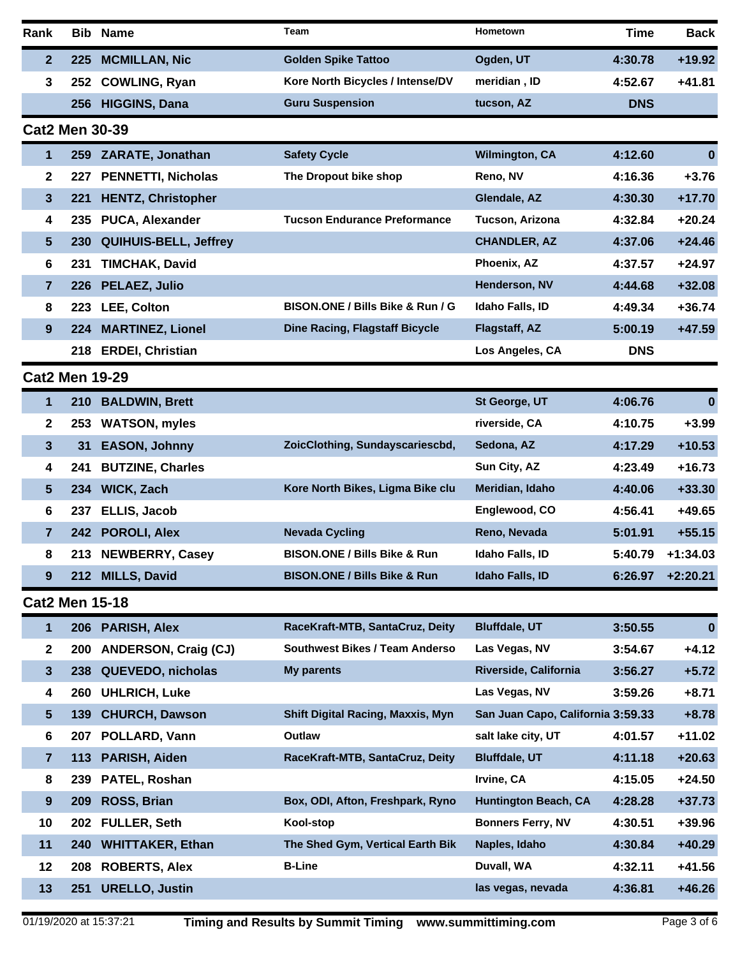| Rank                  | Bib.       | <b>Name</b>                  | Team                                     | Hometown                          | <b>Time</b> | <b>Back</b>      |
|-----------------------|------------|------------------------------|------------------------------------------|-----------------------------------|-------------|------------------|
| $\mathbf{2}$          | 225        | <b>MCMILLAN, Nic</b>         | <b>Golden Spike Tattoo</b>               | Ogden, UT                         | 4:30.78     | $+19.92$         |
| 3                     | 252        | <b>COWLING, Ryan</b>         | Kore North Bicycles / Intense/DV         | meridian, ID                      | 4:52.67     | $+41.81$         |
|                       | 256        | <b>HIGGINS, Dana</b>         | <b>Guru Suspension</b>                   | tucson, AZ                        | <b>DNS</b>  |                  |
| <b>Cat2 Men 30-39</b> |            |                              |                                          |                                   |             |                  |
| 1                     | 259        | <b>ZARATE, Jonathan</b>      | <b>Safety Cycle</b>                      | <b>Wilmington, CA</b>             | 4:12.60     | $\boldsymbol{0}$ |
| $\mathbf 2$           | 227        | <b>PENNETTI, Nicholas</b>    | The Dropout bike shop                    | Reno, NV                          | 4:16.36     | $+3.76$          |
| 3                     | 221        | <b>HENTZ, Christopher</b>    |                                          | Glendale, AZ                      | 4:30.30     | $+17.70$         |
| 4                     | 235        | PUCA, Alexander              | <b>Tucson Endurance Preformance</b>      | Tucson, Arizona                   | 4:32.84     | $+20.24$         |
| 5                     | 230        | <b>QUIHUIS-BELL, Jeffrey</b> |                                          | <b>CHANDLER, AZ</b>               | 4:37.06     | $+24.46$         |
| 6                     | 231        | <b>TIMCHAK, David</b>        |                                          | Phoenix, AZ                       | 4:37.57     | $+24.97$         |
| $\overline{7}$        | 226        | PELAEZ, Julio                |                                          | Henderson, NV                     | 4:44.68     | $+32.08$         |
| 8                     | 223        | LEE, Colton                  | BISON.ONE / Bills Bike & Run / G         | Idaho Falls, ID                   | 4:49.34     | $+36.74$         |
| 9                     | 224        | <b>MARTINEZ, Lionel</b>      | <b>Dine Racing, Flagstaff Bicycle</b>    | Flagstaff, AZ                     | 5:00.19     | $+47.59$         |
|                       | 218        | <b>ERDEI, Christian</b>      |                                          | Los Angeles, CA                   | <b>DNS</b>  |                  |
| <b>Cat2 Men 19-29</b> |            |                              |                                          |                                   |             |                  |
| 1                     | <b>210</b> | <b>BALDWIN, Brett</b>        |                                          | St George, UT                     | 4:06.76     | $\bf{0}$         |
| 2                     | 253        | <b>WATSON, myles</b>         |                                          | riverside, CA                     | 4:10.75     | $+3.99$          |
| 3                     | 31         | <b>EASON, Johnny</b>         | ZoicClothing, Sundayscariescbd,          | Sedona, AZ                        | 4:17.29     | $+10.53$         |
| 4                     | 241        | <b>BUTZINE, Charles</b>      |                                          | Sun City, AZ                      | 4:23.49     | $+16.73$         |
| 5                     | 234        | <b>WICK, Zach</b>            | Kore North Bikes, Ligma Bike clu         | Meridian, Idaho                   | 4:40.06     | $+33.30$         |
| 6                     | 237        | <b>ELLIS, Jacob</b>          |                                          | Englewood, CO                     | 4:56.41     | +49.65           |
| 7                     | 242        | <b>POROLI, Alex</b>          | <b>Nevada Cycling</b>                    | Reno, Nevada                      | 5:01.91     | $+55.15$         |
| 8                     | 213        | <b>NEWBERRY, Casey</b>       | <b>BISON.ONE / Bills Bike &amp; Run</b>  | Idaho Falls, ID                   | 5:40.79     | $+1:34.03$       |
| 9                     | 212        | <b>MILLS, David</b>          | <b>BISON.ONE / Bills Bike &amp; Run</b>  | Idaho Falls, ID                   | 6:26.97     | $+2:20.21$       |
| <b>Cat2 Men 15-18</b> |            |                              |                                          |                                   |             |                  |
| 1                     | 206        | <b>PARISH, Alex</b>          | RaceKraft-MTB, SantaCruz, Deity          | <b>Bluffdale, UT</b>              | 3:50.55     | $\bf{0}$         |
| 2                     | 200        | <b>ANDERSON, Craig (CJ)</b>  | <b>Southwest Bikes / Team Anderso</b>    | Las Vegas, NV                     | 3:54.67     | +4.12            |
| 3                     | 238        | QUEVEDO, nicholas            | <b>My parents</b>                        | Riverside, California             | 3:56.27     | $+5.72$          |
| 4                     | 260        | <b>UHLRICH, Luke</b>         |                                          | Las Vegas, NV                     | 3:59.26     | $+8.71$          |
| 5                     | 139        | <b>CHURCH, Dawson</b>        | <b>Shift Digital Racing, Maxxis, Myn</b> | San Juan Capo, California 3:59.33 |             | $+8.78$          |
| 6                     | 207        | POLLARD, Vann                | Outlaw                                   | salt lake city, UT                | 4:01.57     | $+11.02$         |
| $\overline{7}$        | 113        | PARISH, Aiden                | RaceKraft-MTB, SantaCruz, Deity          | <b>Bluffdale, UT</b>              | 4:11.18     | $+20.63$         |
| 8                     | 239        | PATEL, Roshan                |                                          | Irvine, CA                        | 4:15.05     | $+24.50$         |
| 9                     | 209        | ROSS, Brian                  | Box, ODI, Afton, Freshpark, Ryno         | <b>Huntington Beach, CA</b>       | 4:28.28     | $+37.73$         |
| 10                    | 202        | <b>FULLER, Seth</b>          | Kool-stop                                | <b>Bonners Ferry, NV</b>          | 4:30.51     | +39.96           |
| 11                    | 240        | <b>WHITTAKER, Ethan</b>      | The Shed Gym, Vertical Earth Bik         | Naples, Idaho                     | 4:30.84     | $+40.29$         |
| 12                    | 208        | <b>ROBERTS, Alex</b>         | <b>B-Line</b>                            | Duvall, WA                        | 4:32.11     | $+41.56$         |
| 13                    | 251        | <b>URELLO, Justin</b>        |                                          | las vegas, nevada                 | 4:36.81     | $+46.26$         |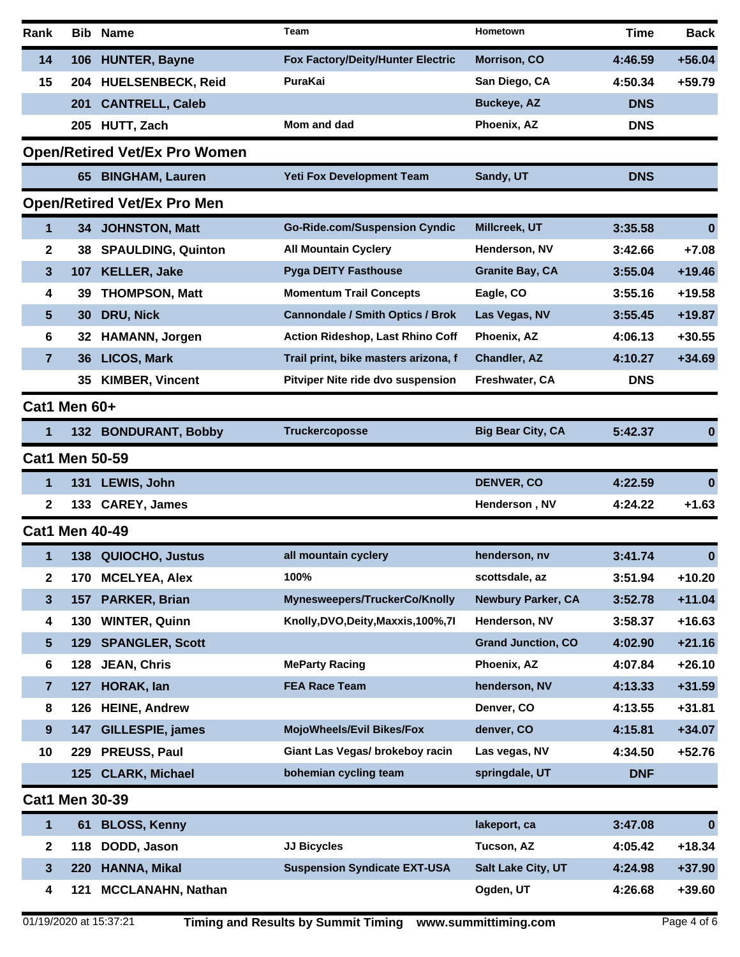| Rank |                       | <b>Bib Name</b>                      | Team                                    | Hometown                  | <b>Time</b> | <b>Back</b> |
|------|-----------------------|--------------------------------------|-----------------------------------------|---------------------------|-------------|-------------|
| 14   | 106                   | <b>HUNTER, Bayne</b>                 | Fox Factory/Deity/Hunter Electric       | <b>Morrison, CO</b>       | 4:46.59     | $+56.04$    |
| 15   | 204                   | <b>HUELSENBECK, Reid</b>             | PuraKai                                 | San Diego, CA             | 4:50.34     | $+59.79$    |
|      | 201                   | <b>CANTRELL, Caleb</b>               |                                         | <b>Buckeye, AZ</b>        | <b>DNS</b>  |             |
|      |                       | 205 HUTT, Zach                       | Mom and dad                             | Phoenix, AZ               | <b>DNS</b>  |             |
|      |                       | <b>Open/Retired Vet/Ex Pro Women</b> |                                         |                           |             |             |
|      | 65                    | <b>BINGHAM, Lauren</b>               | <b>Yeti Fox Development Team</b>        | Sandy, UT                 | <b>DNS</b>  |             |
|      |                       | <b>Open/Retired Vet/Ex Pro Men</b>   |                                         |                           |             |             |
| 1    | 34 -                  | <b>JOHNSTON, Matt</b>                | <b>Go-Ride.com/Suspension Cyndic</b>    | Millcreek, UT             | 3:35.58     | 0           |
| 2    | 38                    | <b>SPAULDING, Quinton</b>            | <b>All Mountain Cyclery</b>             | Henderson, NV             | 3:42.66     | $+7.08$     |
| 3    | 107                   | <b>KELLER, Jake</b>                  | <b>Pyga DEITY Fasthouse</b>             | <b>Granite Bay, CA</b>    | 3:55.04     | $+19.46$    |
| 4    | 39                    | <b>THOMPSON, Matt</b>                | <b>Momentum Trail Concepts</b>          | Eagle, CO                 | 3:55.16     | $+19.58$    |
| 5    | 30                    | DRU, Nick                            | <b>Cannondale / Smith Optics / Brok</b> | Las Vegas, NV             | 3:55.45     | $+19.87$    |
| 6    | 32                    | <b>HAMANN, Jorgen</b>                | <b>Action Rideshop, Last Rhino Coff</b> | Phoenix, AZ               | 4:06.13     | $+30.55$    |
| 7    | 36                    | <b>LICOS, Mark</b>                   | Trail print, bike masters arizona, f    | Chandler, AZ              | 4:10.27     | $+34.69$    |
|      | 35                    | <b>KIMBER, Vincent</b>               | Pitviper Nite ride dvo suspension       | Freshwater, CA            | <b>DNS</b>  |             |
|      | Cat1 Men 60+          |                                      |                                         |                           |             |             |
| 1    |                       | 132 BONDURANT, Bobby                 | <b>Truckercoposse</b>                   | <b>Big Bear City, CA</b>  | 5:42.37     | $\bf{0}$    |
|      | <b>Cat1 Men 50-59</b> |                                      |                                         |                           |             |             |
| 1    | 131                   | LEWIS, John                          |                                         | <b>DENVER, CO</b>         | 4:22.59     | $\bf{0}$    |
| 2    |                       | 133 CAREY, James                     |                                         | Henderson, NV             | 4:24.22     | $+1.63$     |
|      | <b>Cat1 Men 40-49</b> |                                      |                                         |                           |             |             |
| 1    |                       | 138 QUIOCHO, Justus                  | all mountain cyclery                    | henderson, nv             | 3:41.74     | 0           |
| 2    | 170                   | <b>MCELYEA, Alex</b>                 | 100%                                    | scottsdale, az            | 3:51.94     | $+10.20$    |
| 3    | 157                   | PARKER, Brian                        | Mynesweepers/TruckerCo/Knolly           | <b>Newbury Parker, CA</b> | 3:52.78     | $+11.04$    |
| 4    | 130                   | <b>WINTER, Quinn</b>                 | Knolly, DVO, Deity, Maxxis, 100%, 7I    | Henderson, NV             | 3:58.37     | $+16.63$    |
| 5    | 129                   | <b>SPANGLER, Scott</b>               |                                         | <b>Grand Junction, CO</b> | 4:02.90     | $+21.16$    |
| 6    | 128                   | <b>JEAN, Chris</b>                   | <b>MeParty Racing</b>                   | Phoenix, AZ               | 4:07.84     | $+26.10$    |
| 7    | 127                   | HORAK, lan                           | <b>FEA Race Team</b>                    | henderson, NV             | 4:13.33     | $+31.59$    |
| 8    | 126                   | <b>HEINE, Andrew</b>                 |                                         | Denver, CO                | 4:13.55     | $+31.81$    |
| 9    | 147                   | <b>GILLESPIE, james</b>              | <b>MojoWheels/Evil Bikes/Fox</b>        | denver, CO                | 4:15.81     | $+34.07$    |
| 10   | 229                   | PREUSS, Paul                         | Giant Las Vegas/ brokeboy racin         | Las vegas, NV             | 4:34.50     | $+52.76$    |
|      | 125                   | <b>CLARK, Michael</b>                | bohemian cycling team                   | springdale, UT            | <b>DNF</b>  |             |
|      | <b>Cat1 Men 30-39</b> |                                      |                                         |                           |             |             |
| 1    | 61                    | <b>BLOSS, Kenny</b>                  |                                         | lakeport, ca              | 3:47.08     | $\bf{0}$    |
| 2    | 118                   | DODD, Jason                          | <b>JJ Bicycles</b>                      | Tucson, AZ                | 4:05.42     | $+18.34$    |
| 3    | 220                   | HANNA, Mikal                         | <b>Suspension Syndicate EXT-USA</b>     | Salt Lake City, UT        | 4:24.98     | $+37.90$    |
| 4    | 121                   | <b>MCCLANAHN, Nathan</b>             |                                         | Ogden, UT                 | 4:26.68     | +39.60      |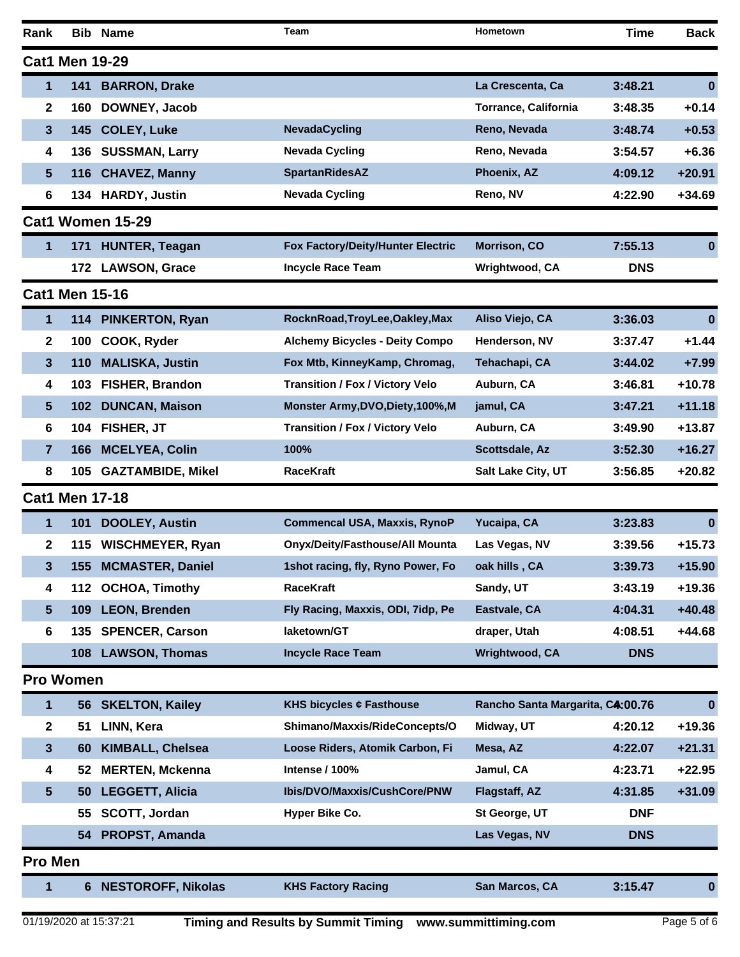| Rank           |                       | <b>Bib Name</b>          | Team                                   | Hometown                         | Time       | <b>Back</b> |
|----------------|-----------------------|--------------------------|----------------------------------------|----------------------------------|------------|-------------|
|                | <b>Cat1 Men 19-29</b> |                          |                                        |                                  |            |             |
| 1              | 141                   | <b>BARRON, Drake</b>     |                                        | La Crescenta, Ca                 | 3:48.21    | $\bf{0}$    |
| 2              | 160                   | DOWNEY, Jacob            |                                        | <b>Torrance, California</b>      | 3:48.35    | $+0.14$     |
| 3              | 145                   | <b>COLEY, Luke</b>       | <b>NevadaCycling</b>                   | Reno, Nevada                     | 3:48.74    | $+0.53$     |
| 4              | 136                   | <b>SUSSMAN, Larry</b>    | <b>Nevada Cycling</b>                  | Reno, Nevada                     | 3:54.57    | $+6.36$     |
| 5              | 116                   | <b>CHAVEZ, Manny</b>     | <b>SpartanRidesAZ</b>                  | Phoenix, AZ                      | 4:09.12    | $+20.91$    |
| 6              | 134                   | <b>HARDY, Justin</b>     | <b>Nevada Cycling</b>                  | Reno, NV                         | 4:22.90    | $+34.69$    |
|                |                       | <b>Cat1 Women 15-29</b>  |                                        |                                  |            |             |
| 1              |                       | 171 HUNTER, Teagan       | Fox Factory/Deity/Hunter Electric      | Morrison, CO                     | 7:55.13    | $\bf{0}$    |
|                |                       | 172 LAWSON, Grace        | <b>Incycle Race Team</b>               | Wrightwood, CA                   | <b>DNS</b> |             |
|                | <b>Cat1 Men 15-16</b> |                          |                                        |                                  |            |             |
| 1              | 114                   | <b>PINKERTON, Ryan</b>   | RocknRoad, TroyLee, Oakley, Max        | Aliso Viejo, CA                  | 3:36.03    | $\bf{0}$    |
| 2              | 100                   | COOK, Ryder              | <b>Alchemy Bicycles - Deity Compo</b>  | Henderson, NV                    | 3:37.47    | $+1.44$     |
| 3              | 110                   | <b>MALISKA, Justin</b>   | Fox Mtb, KinneyKamp, Chromag,          | Tehachapi, CA                    | 3:44.02    | $+7.99$     |
| 4              | 103                   | FISHER, Brandon          | <b>Transition / Fox / Victory Velo</b> | Auburn, CA                       | 3:46.81    | $+10.78$    |
| 5              | 102                   | <b>DUNCAN, Maison</b>    | Monster Army, DVO, Diety, 100%, M      | jamul, CA                        | 3:47.21    | $+11.18$    |
| 6              | 104                   | FISHER, JT               | <b>Transition / Fox / Victory Velo</b> | Auburn, CA                       | 3:49.90    | $+13.87$    |
| 7              | 166                   | <b>MCELYEA, Colin</b>    | 100%                                   | Scottsdale, Az                   | 3:52.30    | $+16.27$    |
| 8              | 105                   | <b>GAZTAMBIDE, Mikel</b> | <b>RaceKraft</b>                       | Salt Lake City, UT               | 3:56.85    | $+20.82$    |
|                | <b>Cat1 Men 17-18</b> |                          |                                        |                                  |            |             |
| 1              | 101                   | <b>DOOLEY, Austin</b>    | <b>Commencal USA, Maxxis, RynoP</b>    | Yucaipa, CA                      | 3:23.83    | $\bf{0}$    |
| $\mathbf{2}$   |                       | 115 WISCHMEYER, Ryan     | <b>Onyx/Deity/Fasthouse/All Mounta</b> | Las Vegas, NV                    | 3:39.56    | $+15.73$    |
| 3              |                       | 155 MCMASTER, Daniel     | 1shot racing, fly, Ryno Power, Fo      | oak hills, CA                    | 3:39.73    | $+15.90$    |
| 4              | 112                   | <b>OCHOA, Timothy</b>    | <b>RaceKraft</b>                       | Sandy, UT                        | 3:43.19    | $+19.36$    |
| 5              | 109                   | <b>LEON, Brenden</b>     | Fly Racing, Maxxis, ODI, 7idp, Pe      | Eastvale, CA                     | 4:04.31    | $+40.48$    |
| 6              | 135                   | <b>SPENCER, Carson</b>   | laketown/GT                            | draper, Utah                     | 4:08.51    | +44.68      |
|                | 108 <sub>1</sub>      | <b>LAWSON, Thomas</b>    | <b>Incycle Race Team</b>               | Wrightwood, CA                   | <b>DNS</b> |             |
|                | <b>Pro Women</b>      |                          |                                        |                                  |            |             |
| 1              |                       | 56 SKELTON, Kailey       | KHS bicycles ⢠Fasthouse                | Rancho Santa Margarita, CA:00.76 |            | $\bf{0}$    |
| 2              | 51                    | LINN, Kera               | Shimano/Maxxis/RideConcepts/O          | Midway, UT                       | 4:20.12    | +19.36      |
| 3              | 60                    | <b>KIMBALL, Chelsea</b>  | Loose Riders, Atomik Carbon, Fi        | Mesa, AZ                         | 4:22.07    | $+21.31$    |
| 4              | 52                    | <b>MERTEN, Mckenna</b>   | Intense / 100%                         | Jamul, CA                        | 4:23.71    | $+22.95$    |
| 5              | 50                    | <b>LEGGETT, Alicia</b>   | Ibis/DVO/Maxxis/CushCore/PNW           | Flagstaff, AZ                    | 4:31.85    | $+31.09$    |
|                | 55                    | SCOTT, Jordan            | Hyper Bike Co.                         | St George, UT                    | <b>DNF</b> |             |
|                | 54                    | <b>PROPST, Amanda</b>    |                                        | Las Vegas, NV                    | <b>DNS</b> |             |
| <b>Pro Men</b> |                       |                          |                                        |                                  |            |             |
| 1              |                       | 6 NESTOROFF, Nikolas     | <b>KHS Factory Racing</b>              | San Marcos, CA                   | 3:15.47    | 0           |
|                |                       |                          |                                        |                                  |            |             |